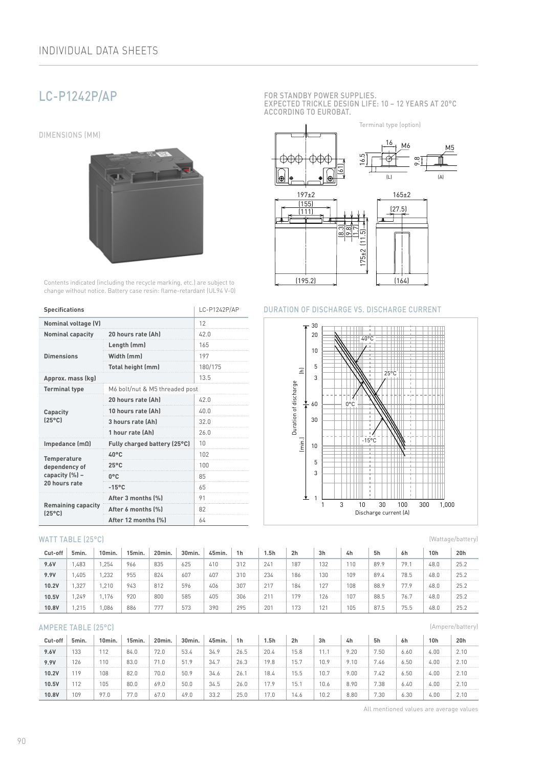# LC-P1242P/AP

DIMENSIONS (MM)



Contents indicated (including the recycle marking, etc.) are subject to change without notice. Battery case resin: flame-retardant (UL94 V-0)

| <b>Specifications</b>                        | LC-P1242P/AP                   |         |  |  |  |  |
|----------------------------------------------|--------------------------------|---------|--|--|--|--|
| Nominal voltage (V)                          | 12                             |         |  |  |  |  |
| <b>Nominal capacity</b>                      | 20 hours rate (Ah)             |         |  |  |  |  |
|                                              | Length (mm)                    | 165     |  |  |  |  |
| <b>Dimensions</b>                            | Width (mm)                     | 197     |  |  |  |  |
|                                              | Total height (mm)              | 180/175 |  |  |  |  |
| Approx. mass (kg)                            | 13.5                           |         |  |  |  |  |
| <b>Terminal type</b>                         | M6 bolt/nut & M5 threaded post |         |  |  |  |  |
|                                              | 20 hours rate (Ah)             | 42.0    |  |  |  |  |
| Capacity                                     | 10 hours rate (Ah)             | 40.0    |  |  |  |  |
| $[25^{\circ}$ C                              | 3 hours rate (Ah)              | 32.0    |  |  |  |  |
|                                              | 1 hour rate (Ah)               | 26.0    |  |  |  |  |
| Impedance $(m\Omega)$                        | Fully charged battery (25°C)   | 10      |  |  |  |  |
| <b>Temperature</b>                           | $40^{\circ}$ C                 | 102     |  |  |  |  |
| dependency of                                | $25^{\circ}$ C                 | 100     |  |  |  |  |
| capacity (%) -                               | $0^{\circ}$ C                  | 85      |  |  |  |  |
| 20 hours rate                                | $-15^{\circ}$ C                | 65      |  |  |  |  |
|                                              | After 3 months [%]             | 91      |  |  |  |  |
| <b>Remaining capacity</b><br>$[25^{\circ}$ C | After 6 months (%)             | 82      |  |  |  |  |
|                                              | After 12 months (%)            | 64      |  |  |  |  |

#### WATT TABLE (25°C)

| Cut-off | 5min. | 10min. | 15min. | 20min. | 30min. | 45min. | 1 <sub>h</sub> | 5h  | 2 <sub>h</sub> | 3h  | 4h  | 5h   | 6h   | 10h  | 20h  |
|---------|-------|--------|--------|--------|--------|--------|----------------|-----|----------------|-----|-----|------|------|------|------|
| 9.6V    | .483  | .254   | 966    | 835    | 625    | 410    | 312            | 241 | 187            | 132 | 110 | 89.9 | 79.  | 48.0 | 25.2 |
| 9.9V    | .405  | .232   | 955    | 824    | 607    | 407    | 310            | 234 | 186            | 130 | 109 | 89.4 | 78.5 | 48.0 | 25.2 |
| 10.2V   | .327  | .210   | 943    | 812    | 596    | 406    | 307            | 217 | 184            | 127 | 108 | 88.9 | 77.9 | 48.0 | 25.2 |
| 10.5V   | .249  | .176   | 920    | 800    | 585    | 405    | 306            |     | 79             | 126 | 107 | 88.5 | 76.7 | 48.0 | 25.2 |
| 10.8V   | ,215  | ,086   | 886    | 777    | 573    | 390    | 295            | 201 | 73             | 121 | 105 | 87.5 | 75.5 | 48.0 | 25.2 |

#### AMPERE TABLE (25°C)

| Cut-off | 5min. | 10min. | 15min. | 20min. | 30min. | 45min. | 1h   | l.5h | 2 <sub>h</sub> | 3h   | 4h   | 5h   | 6h   | 10 <sub>h</sub> | 20h  |
|---------|-------|--------|--------|--------|--------|--------|------|------|----------------|------|------|------|------|-----------------|------|
| 9.6V    | 133   | 112    | 84.0   | 72.0   | 53.4   | 34.9   | 26.5 | 20.4 | 15.8           |      | 9.20 | 7.50 | 6.60 | 4.00            | 2.10 |
| 9.9V    | 126   | 10     | 83.0   | 71.0   | 51.9   | 34.7   | 26.3 | 19.8 | 15.7           | 10.9 | 9.10 | 7.46 | 6.50 | 4.00            | 2.10 |
| 10.2V   | 19    | 108    | 82.0   | 70.0   | 50.9   | 34.6   | 26.  | 18.4 | 15.5           | 10.7 | 9.00 | 7.42 | 6.50 | 4.00            | 2.10 |
| 10.5V   | 112   | 105    | 80.0   | 69.0   | 50.0   | 34.5   | 26.0 | 17.9 | 15.            | 10.6 | 8.90 | 7.38 | 6.40 | 4.00            | 2.10 |
| 10.8V   | 109   | 97.0   | 77.0   | 67.0   | 49.0   | 33.2   | 25.0 | 7.0  | 14.6           | 10.2 | 8.80 | 7.30 | 6.30 | 4.00            | 2.10 |

FOR STANDBY POWER SUPPLIES. EXPECTED TRICKLE DESIGN LIFE: 10 – 12 YEARS AT 20°C ACCORDING TO EUROBAT.



#### DURATION OF DISCHARGE VS. DISCHARGE CURRENT



(Wattage/battery)

(Ampere/battery)

All mentioned values are average values